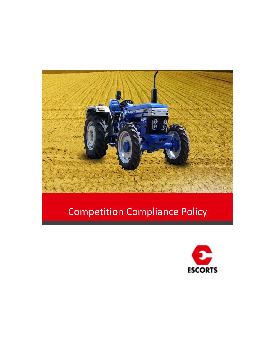

# Competition Compliance Policy

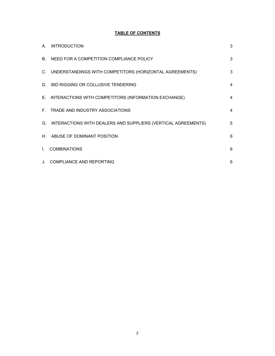# **TABLE OF CONTENTS**

| A.           | <b>INTRODUCTION</b>                                              | 3 |
|--------------|------------------------------------------------------------------|---|
|              | B. NEED FOR A COMPETITION COMPLIANCE POLICY                      | 3 |
|              | C. UNDERSTANDINGS WITH COMPETITORS (HORIZONTAL AGREEMENTS)       | 3 |
|              | D. BID RIGGING OR COLLUSIVE TENDERING                            | 4 |
|              | E. INTERACTIONS WITH COMPETITORS (INFORMATION EXCHANGE)          | 4 |
|              | F. TRADE AND INDUSTRY ASSOCIATIONS                               | 4 |
|              | G. INTERACTIONS WITH DEALERS AND SUPPLIERS (VERTICAL AGREEMENTS) | 5 |
| H.           | ABUSE OF DOMINANT POSITION                                       | 6 |
| $\mathbf{L}$ | <b>COMBINATIONS</b>                                              | 6 |
|              | J. COMPLIANCE AND REPORTING                                      | 6 |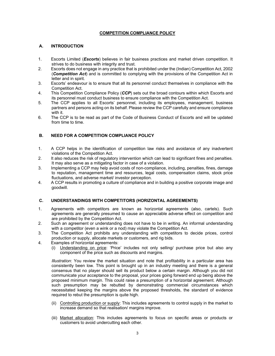#### **COMPETITION COMPLIANCE POLICY**

# **A. INTRODUCTION**

- 1. Escorts Limited (*Escorts*) believes in fair business practices and market driven competition. It strives to do business with integrity and trust.
- 2. Escorts does not engage in any practice that is prohibited under the (Indian) Competition Act, 2002 (*Competition Act*) and is committed to complying with the provisions of the Competition Act in letter and in spirit.
- 3. Escorts' endeavour is to ensure that all its personnel conduct themselves in compliance with the Competition Act.
- 4. This Competition Compliance Policy (*CCP*) sets out the broad contours within which Escorts and its personnel must conduct business to ensure compliance with the Competition Act.
- 5. The CCP applies to all Escorts' personnel, including its employees, management, business partners and persons acting on its behalf. Please review the CCP carefully and ensure compliance with it.
- 6. The CCP is to be read as part of the Code of Business Conduct of Escorts and will be updated from time to time.

# **B. NEED FOR A COMPETITION COMPLIANCE POLICY**

- 1. A CCP helps in the identification of competition law risks and avoidance of any inadvertent violations of the Competition Act.
- 2. It also reduces the risk of regulatory intervention which can lead to significant fines and penalties. It may also serve as a mitigating factor in case of a violation.
- 3. Implementing a CCP may help avoid costs of non-compliance, including, penalties, fines, damage to reputation, management time and resources, legal costs, compensation claims, stock price fluctuations, and adverse market/ investor perception.
- 4. A CCP results in promoting a culture of compliance and in building a positive corporate image and goodwill.

#### **C. UNDERSTANDINGS WITH COMPETITORS (HORIZONTAL AGREEMENTS)**

- 1. Agreements with competitors are known as horizontal agreements (also, cartels). Such agreements are generally presumed to cause an appreciable adverse effect on competition and are prohibited by the Competition Act.
- 2. Such an agreement or understanding does not have to be in writing. An informal understanding with a competitor (even a wink or a nod) may violate the Competition Act.
- 3. The Competition Act prohibits any understanding with competitors to decide prices, control production or supply, allocate markets or customers, and rig bids.
- 4. Examples of horizontal agreements:
	- (i) Understanding on price: 'Price' includes not only selling/ purchase price but also any component of the price such as discounts and margins.

*Illustration*: You review the market situation and note that profitability in a particular area has consistently been low. This point is brought up in an industry meeting and there is a general consensus that no player should sell its product below a certain margin. Although you did not communicate your acceptance to the proposal, your prices going forward end up being above the proposed minimum margin. This could raise a presumption of a horizontal agreement. Although such presumption may be rebutted by demonstrating commercial circumstances which necessitated keeping the margins above the proposed thresholds, the standard of evidence required to rebut the presumption is quite high.

- (ii) Controlling production or supply: This includes agreements to control supply in the market to increase demand so that realisation/ margins improve.
- (iii) Market allocation: This includes agreements to focus on specific areas or products or customers to avoid undercutting each other.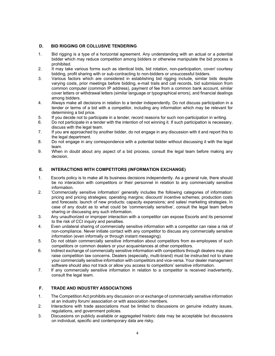# **D. BID RIGGING OR COLLUSIVE TENDERING**

- 1. Bid rigging is a type of a horizontal agreement. Any understanding with an actual or a potential bidder which may reduce competition among bidders or otherwise manipulate the bid process is prohibited.
- 2. It may take various forms such as identical bids, bid rotation, non-participation, cover/ courtesy bidding, profit sharing with or sub-contracting to non-bidders or unsuccessful bidders.
- 3. Various factors which are considered in establishing bid rigging include, similar bids despite varying costs, prior meetings before bidding, e-mail trails and call records, bid submission from common computer (common IP address), payment of fee from a common bank account, similar cover letters or withdrawal letters (similar language or typographical errors), and financial dealings among bidders.
- 4. Always make all decisions in relation to a tender independently. Do not discuss participation in a tender or terms of a bid with a competitor, including any information which may be relevant for determining a bid price.
- 5. If you decide not to participate in a tender, record reasons for such non-participation in writing.
- 6. Do not participate in a tender with the intention of not winning it. If such participation is necessary, discuss with the legal team.
- 7. If you are approached by another bidder, do not engage in any discussion with it and report this to the legal department.
- 8. Do not engage in any correspondence with a potential bidder without discussing it with the legal team.
- 9. When in doubt about any aspect of a bid process, consult the legal team before making any decision.

# **E. INTERACTIONS WITH COMPETITORS (INFORMATION EXCHANGE)**

- 1. Escorts policy is to make all its business decisions independently. As a general rule, there should be no interaction with competitors or their personnel in relation to any commercially sensitive information.
- 2. 'Commercially sensitive information' generally includes the following categories of information: pricing and pricing strategies; operating margins; discount/ incentive schemes; production costs and forecasts; launch of new products; capacity expansions; and sales/ marketing strategies. In case of any doubt as to what could be 'commercially sensitive', consult the legal team before sharing or discussing any such information.
- 3. Any unauthorized or improper interaction with a competitor can expose Escorts and its personnel to the risk of CCI inquiry and penalties.
- 4. Even unilateral sharing of commercially sensitive information with a competitor can raise a risk of non-compliance. Never initiate contact with any competitor to discuss any commercially sensitive information (even informally or through instant messaging).
- 5. Do not obtain commercially sensitive information about competitors from ex-employees of such competitors or common dealers or your acquaintances at other competitors.
- 6. Indirect exchange of commercially sensitive information with competitors through dealers may also raise competition law concerns. Dealers (especially, multi-brand) must be instructed not to share your commercially sensitive information with competitors and vice-versa. Your dealer management software should also not track or allow you access to competitors' sensitive information.
- 7. If any commercially sensitive information in relation to a competitor is received inadvertently, consult the legal team.

# **F. TRADE AND INDUSTRY ASSOCIATIONS**

- 1. The Competition Act prohibits any discussion on or exchange of commercially sensitive information at an industry forum/ association or with association members.
- 2. Interactions with trade associations must be limited to discussions on genuine industry issues, regulations, and government policies.
- 3. Discussions on publicly available or aggregated historic data may be acceptable but discussions on individual, specific and contemporary data are risky.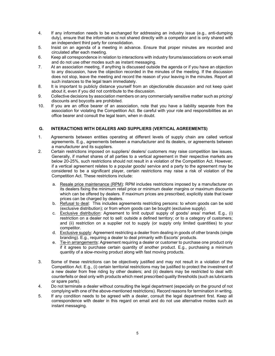- 4. If any information needs to be exchanged for addressing an industry issue (e.g., anti-dumping duty), ensure that the information is not shared directly with a competitor and is only shared with an independent third party for consolidation.
- 5. Insist on an agenda of a meeting in advance. Ensure that proper minutes are recorded and circulated after each meeting.
- 6. Keep all correspondence in relation to interactions with industry forums/associations on work email and do not use other modes such as instant messaging.
- 7. At an association meeting, if anything is discussed outside the agenda or if you have an objection to any discussion, have the objection recorded in the minutes of the meeting. If the discussion does not stop, leave the meeting and record the reason of your leaving in the minutes. Report all such instances to the legal team immediately.
- 8. It is important to publicly distance yourself from an objectionable discussion and not keep quiet about it, even if you did not contribute to the discussion.
- 9. Collective decisions by association members on any commercially sensitive matter such as pricing/ discounts and boycotts are prohibited.
- 10. If you are an office bearer of an association, note that you have a liability separate from the association for violating the Competition Act. Be careful with your role and responsibilities as an office bearer and consult the legal team, when in doubt.

# **G. INTERACTIONS WITH DEALERS AND SUPPLIERS (VERTICAL AGREEMENTS)**

- 1. Agreements between entities operating at different levels of supply chain are called vertical agreements. E.g., agreements between a manufacturer and its dealers, or agreements between a manufacturer and its suppliers.
- 2. Certain restrictions imposed on suppliers/ dealers/ customers may raise competition law issues. Generally, if market shares of all parties to a vertical agreement in their respective markets are below 20-25%, such restrictions should not result in a violation of the Competition Act. However, if a vertical agreement relates to a popular goods/ service and a party to the agreement may be considered to be a significant player, certain restrictions may raise a risk of violation of the Competition Act. These restrictions include:
	- a. Resale price maintenance (RPM): RPM includes restrictions imposed by a manufacturer on its dealers fixing the minimum retail price or minimum dealer margins or maximum discounts which can be offered by dealers. If maximum prices are prescribed, explicitly state that lower prices can be charged by dealers.
	- b. Refusal to deal: This includes agreements restricting persons: to whom goods can be sold (exclusive distribution); or from whom goods can be bought (exclusive supply).
	- c. Exclusive distribution: Agreement to limit output/ supply of goods/ area/ market. E.g., (i) restriction on a dealer not to sell: outside a defined territory; or to a category of customers; and (ii) restriction on a supplier not to supply (or supply only limited quantities) to your competitor.
	- d. Exclusive supply: Agreement restricting a dealer from dealing in goods of other brands (single branding). E.g., requiring a dealer to deal primarily with Escorts' products.
	- e. Tie-in arrangements: Agreement requiring a dealer or customer to purchase one product only if it agrees to purchase certain quantity of another product. E.g., purchasing a minimum quantity of a slow-moving product along with fast moving products.
- 3. Some of these restrictions can be objectively justified and may not result in a violation of the Competition Act. E.g., (i) certain territorial restrictions may be justified to protect the investment of a new dealer from free riding by other dealers; and (ii) dealers may be restricted to deal with counterfeits or deal only with products which meet prescribed quality thresholds (such as lubricants or spare parts).
- 4. Do not terminate a dealer without consulting the legal department (especially on the ground of not complying with one of the above-mentioned restrictions). Record reasons for termination in writing.
- 5. If any condition needs to be agreed with a dealer, consult the legal department first. Keep all correspondence with dealer in this regard on email and do not use alternative modes such as instant messaging.